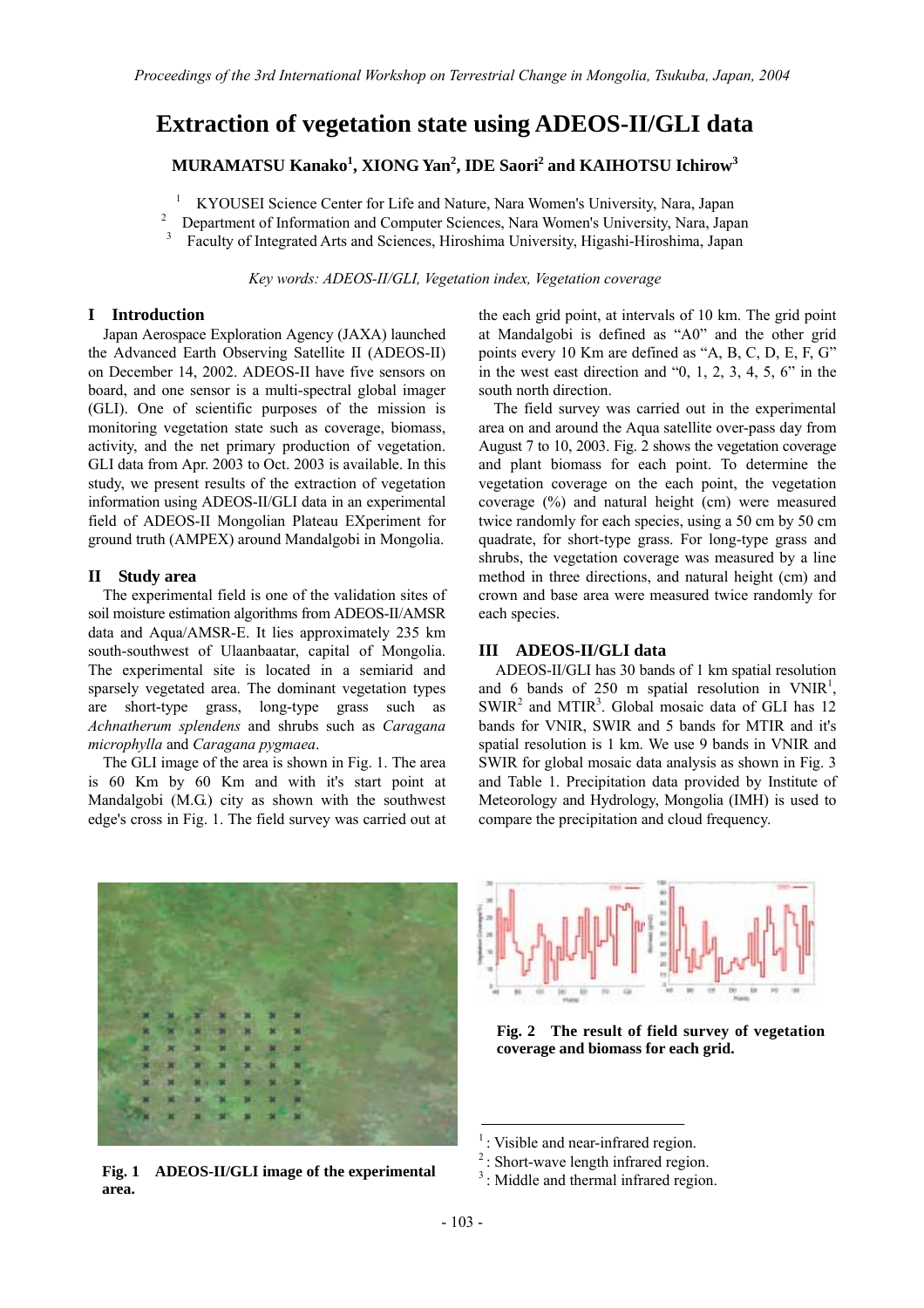# **Extraction of vegetation state using ADEOS-II/GLI data**

**MURAMATSU Kanako<sup>1</sup> , XIONG Yan<sup>2</sup> , IDE Saori<sup>2</sup> and KAIHOTSU Ichirow<sup>3</sup>**

1 KYOUSEI Science Center for Life and Nature, Nara Women's University, Nara, Japan 2

Department of Information and Computer Sciences, Nara Women's University, Nara, Japan

3 Faculty of Integrated Arts and Sciences, Hiroshima University, Higashi-Hiroshima, Japan

*Key words: ADEOS-II/GLI, Vegetation index, Vegetation coverage* 

## **I Introduction**

Japan Aerospace Exploration Agency (JAXA) launched the Advanced Earth Observing Satellite II (ADEOS-II) on December 14, 2002. ADEOS-II have five sensors on board, and one sensor is a multi-spectral global imager (GLI). One of scientific purposes of the mission is monitoring vegetation state such as coverage, biomass, activity, and the net primary production of vegetation. GLI data from Apr. 2003 to Oct. 2003 is available. In this study, we present results of the extraction of vegetation information using ADEOS-II/GLI data in an experimental field of ADEOS-II Mongolian Plateau EXperiment for ground truth (AMPEX) around Mandalgobi in Mongolia.

# **II Study area**

The experimental field is one of the validation sites of soil moisture estimation algorithms from ADEOS-II/AMSR data and Aqua/AMSR-E. It lies approximately 235 km south-southwest of Ulaanbaatar, capital of Mongolia. The experimental site is located in a semiarid and sparsely vegetated area. The dominant vegetation types are short-type grass, long-type grass such as *Achnatherum splendens* and shrubs such as *Caragana microphylla* and *Caragana pygmaea*.

The GLI image of the area is shown in Fig. 1. The area is 60 Km by 60 Km and with it's start point at Mandalgobi (M.G.) city as shown with the southwest edge's cross in Fig. 1. The field survey was carried out at the each grid point, at intervals of 10 km. The grid point at Mandalgobi is defined as "A0" and the other grid points every 10 Km are defined as "A, B, C, D, E, F, G" in the west east direction and "0, 1, 2, 3, 4, 5, 6" in the south north direction.

The field survey was carried out in the experimental area on and around the Aqua satellite over-pass day from August 7 to 10, 2003. Fig. 2 shows the vegetation coverage and plant biomass for each point. To determine the vegetation coverage on the each point, the vegetation coverage (%) and natural height (cm) were measured twice randomly for each species, using a 50 cm by 50 cm quadrate, for short-type grass. For long-type grass and shrubs, the vegetation coverage was measured by a line method in three directions, and natural height (cm) and crown and base area were measured twice randomly for each species.

## **III ADEOS-II/GLI data**

ADEOS-II/GLI has 30 bands of 1 km spatial resolution and 6 bands of 250 m spatial resolution in  $VNIR<sup>1</sup>$ ,  $SWIR<sup>2</sup>$  and MTIR<sup>3</sup>. Global mosaic data of GLI has 12 bands for VNIR, SWIR and 5 bands for MTIR and it's spatial resolution is 1 km. We use 9 bands in VNIR and SWIR for global mosaic data analysis as shown in Fig. 3 and Table 1. Precipitation data provided by Institute of Meteorology and Hydrology, Mongolia (IMH) is used to compare the precipitation and cloud frequency.



**3** : Short-wave length inflated region.<br>**Fig. 1** ADEOS-II/GLI image of the experimental  $\frac{3}{2}$ : Middle and thermal infrared region. **area.** 



**Fig. 2 The result of field survey of vegetation coverage and biomass for each grid.** 

 $<sup>1</sup>$ : Visible and near-infrared region.</sup>

<sup>&</sup>lt;sup>2</sup>: Short-wave length infrared region.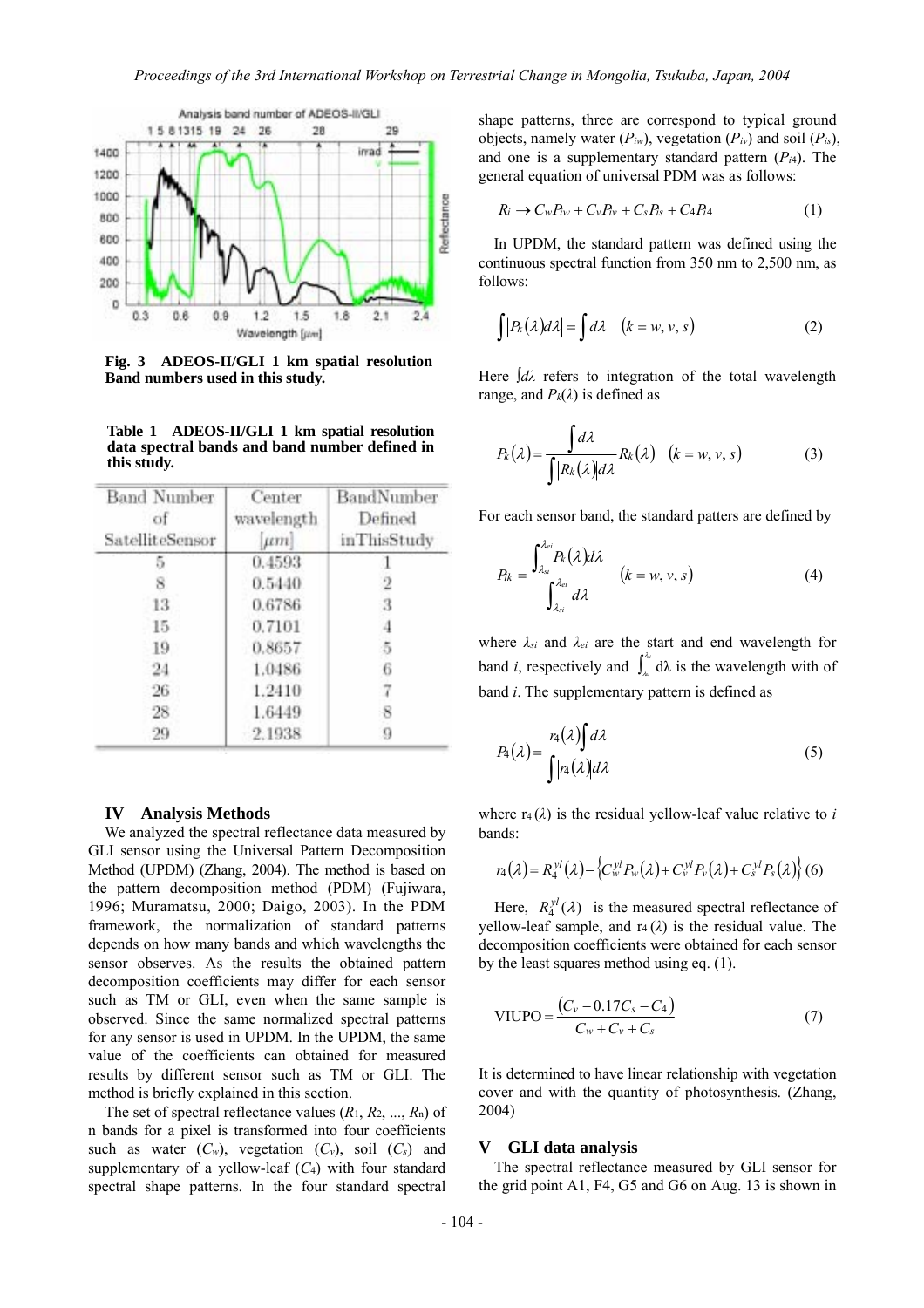

**Fig. 3 ADEOS-II/GLI 1 km spatial resolution Band numbers used in this study.** 

**Table 1 ADEOS-II/GLI 1 km spatial resolution data spectral bands and band number defined in this study.** 

| <b>Band Number</b><br>of<br>SatelliteSensor | Center<br>wavelength<br><i>jtm</i> | BandNumber<br>Defined<br>inThisStudy |
|---------------------------------------------|------------------------------------|--------------------------------------|
|                                             | 0.4593                             |                                      |
|                                             | 0.5440                             |                                      |
| 13                                          | 0.6786                             |                                      |
| 15                                          | 0.7101                             |                                      |
| 19                                          | 0.8657                             |                                      |
| 24                                          | 1.0486                             |                                      |
| 26                                          | 1.2410                             |                                      |
| 28                                          | 1.6449                             |                                      |
| 29                                          | 2.1938                             |                                      |

#### **IV Analysis Methods**

We analyzed the spectral reflectance data measured by GLI sensor using the Universal Pattern Decomposition Method (UPDM) (Zhang, 2004). The method is based on the pattern decomposition method (PDM) (Fujiwara, 1996; Muramatsu, 2000; Daigo, 2003). In the PDM framework, the normalization of standard patterns depends on how many bands and which wavelengths the sensor observes. As the results the obtained pattern decomposition coefficients may differ for each sensor such as TM or GLI, even when the same sample is observed. Since the same normalized spectral patterns for any sensor is used in UPDM. In the UPDM, the same value of the coefficients can obtained for measured results by different sensor such as TM or GLI. The method is briefly explained in this section.

The set of spectral reflectance values (*R*1, *R*2, ..., *R*n) of n bands for a pixel is transformed into four coefficients such as water  $(C_w)$ , vegetation  $(C_v)$ , soil  $(C_s)$  and supplementary of a yellow-leaf (*C*4) with four standard spectral shape patterns. In the four standard spectral

shape patterns, three are correspond to typical ground objects, namely water  $(P_{iw})$ , vegetation  $(P_{iv})$  and soil  $(P_{is})$ , and one is a supplementary standard pattern (*Pi*4). The general equation of universal PDM was as follows:

$$
R_i \rightarrow C_w P_{iw} + C_v P_{iv} + C_s P_{is} + C_4 P_{i4} \tag{1}
$$

In UPDM, the standard pattern was defined using the continuous spectral function from 350 nm to 2,500 nm, as follows:

$$
\int |P_k(\lambda)d\lambda| = \int d\lambda \quad (k = w, v, s)
$$
 (2)

Here ∫*dλ* refers to integration of the total wavelength range, and  $P_k(\lambda)$  is defined as

$$
P_k(\lambda) = \frac{\int d\lambda}{\int |R_k(\lambda)| d\lambda} R_k(\lambda) \quad (k = w, v, s)
$$
 (3)

For each sensor band, the standard patters are defined by

$$
P_{ik} = \frac{\int_{\lambda_{si}}^{\lambda_{ei}} P_k(\lambda) d\lambda}{\int_{\lambda_{si}}^{\lambda_{ei}} d\lambda} \quad (k = w, v, s)
$$
 (4)

where *λsi* and *λei* are the start and end wavelength for band *i*, respectively and  $\int_{\lambda_i}^{\lambda_i}$ *si*  $\lambda_{\alpha}$  d $\lambda$  is the wavelength with of band *i*. The supplementary pattern is defined as

$$
P_4(\lambda) = \frac{r_4(\lambda)\int d\lambda}{\int |r_4(\lambda)| d\lambda} \tag{5}
$$

where  $r_4(\lambda)$  is the residual yellow-leaf value relative to *i* bands:

$$
r_4(\lambda) = R_4^{y}(\lambda) - \left\{ C_w^{y} P_w(\lambda) + C_v^{y} P_v(\lambda) + C_s^{y} P_s(\lambda) \right\} (6)
$$

Here,  $R_4^{\gamma l}(\lambda)$  is the measured spectral reflectance of yellow-leaf sample, and  $r_4(\lambda)$  is the residual value. The decomposition coefficients were obtained for each sensor by the least squares method using eq. (1).

VIUPO = 
$$
\frac{(C_v - 0.17C_s - C_4)}{C_w + C_v + C_s}
$$
 (7)

It is determined to have linear relationship with vegetation cover and with the quantity of photosynthesis. (Zhang, 2004)

### **V GLI data analysis**

The spectral reflectance measured by GLI sensor for the grid point A1, F4, G5 and G6 on Aug. 13 is shown in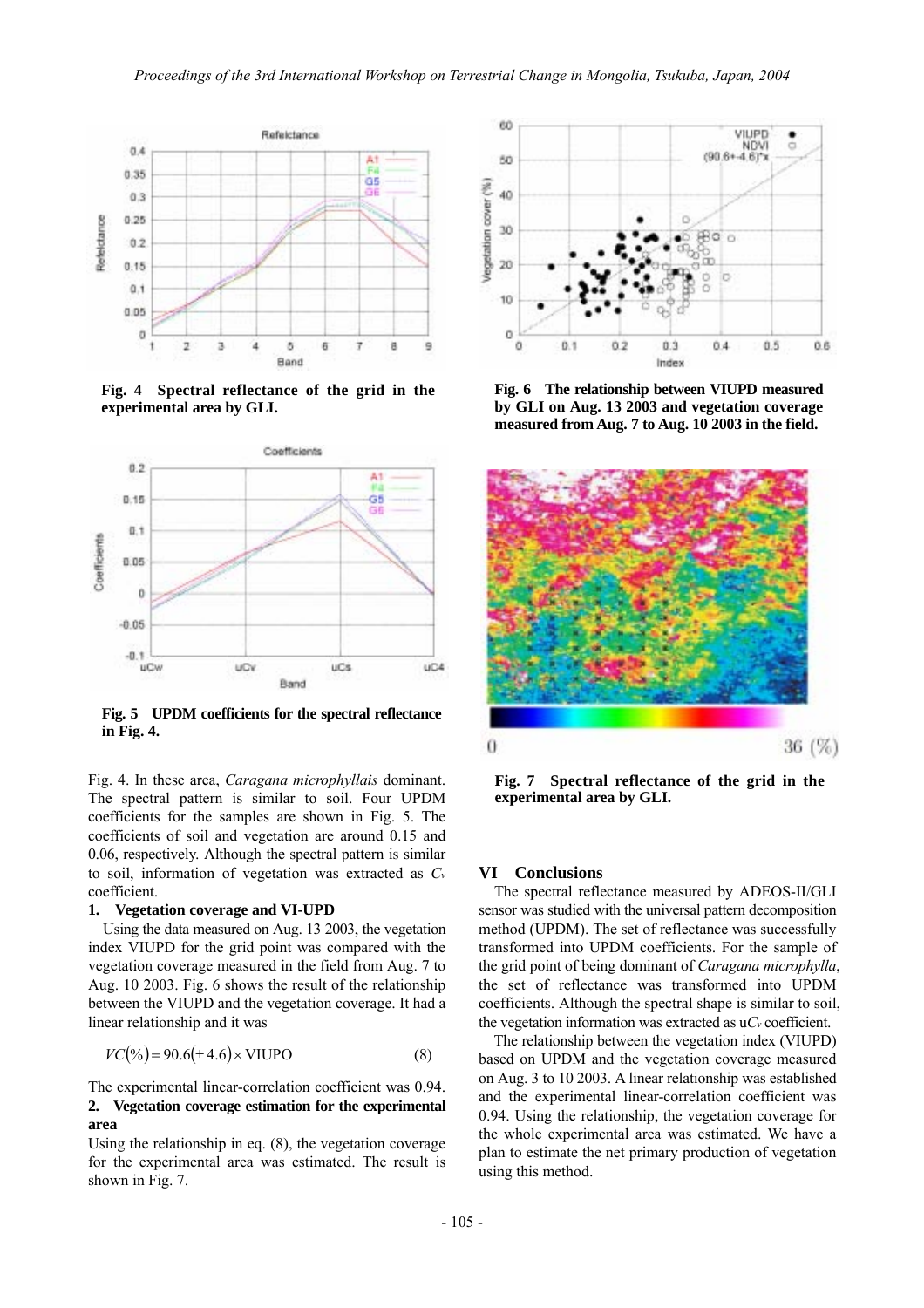

**Fig. 4 Spectral reflectance of the grid in the experimental area by GLI.** 



**Fig. 5 UPDM coefficients for the spectral reflectance in Fig. 4.** 

Fig. 4. In these area, *Caragana microphyllais* dominant. The spectral pattern is similar to soil. Four UPDM coefficients for the samples are shown in Fig. 5. The coefficients of soil and vegetation are around 0.15 and 0.06, respectively. Although the spectral pattern is similar to soil, information of vegetation was extracted as *Cv* coefficient.

#### **1. Vegetation coverage and VI-UPD**

Using the data measured on Aug. 13 2003, the vegetation index VIUPD for the grid point was compared with the vegetation coverage measured in the field from Aug. 7 to Aug. 10 2003. Fig. 6 shows the result of the relationship between the VIUPD and the vegetation coverage. It had a linear relationship and it was

$$
VC(\%)=90.6(\pm 4.6) \times \text{VIUPO} \tag{8}
$$

## The experimental linear-correlation coefficient was 0.94. **2. Vegetation coverage estimation for the experimental area**

Using the relationship in eq. (8), the vegetation coverage for the experimental area was estimated. The result is shown in Fig. 7.



**Fig. 6 The relationship between VIUPD measured by GLI on Aug. 13 2003 and vegetation coverage measured from Aug. 7 to Aug. 10 2003 in the field.**



**Fig. 7 Spectral reflectance of the grid in the experimental area by GLI.** 

# **VI Conclusions**

The spectral reflectance measured by ADEOS-II/GLI sensor was studied with the universal pattern decomposition method (UPDM). The set of reflectance was successfully transformed into UPDM coefficients. For the sample of the grid point of being dominant of *Caragana microphylla*, the set of reflectance was transformed into UPDM coefficients. Although the spectral shape is similar to soil, the vegetation information was extracted as u*Cv* coefficient.

The relationship between the vegetation index (VIUPD) based on UPDM and the vegetation coverage measured on Aug. 3 to 10 2003. A linear relationship was established and the experimental linear-correlation coefficient was 0.94. Using the relationship, the vegetation coverage for the whole experimental area was estimated. We have a plan to estimate the net primary production of vegetation using this method.